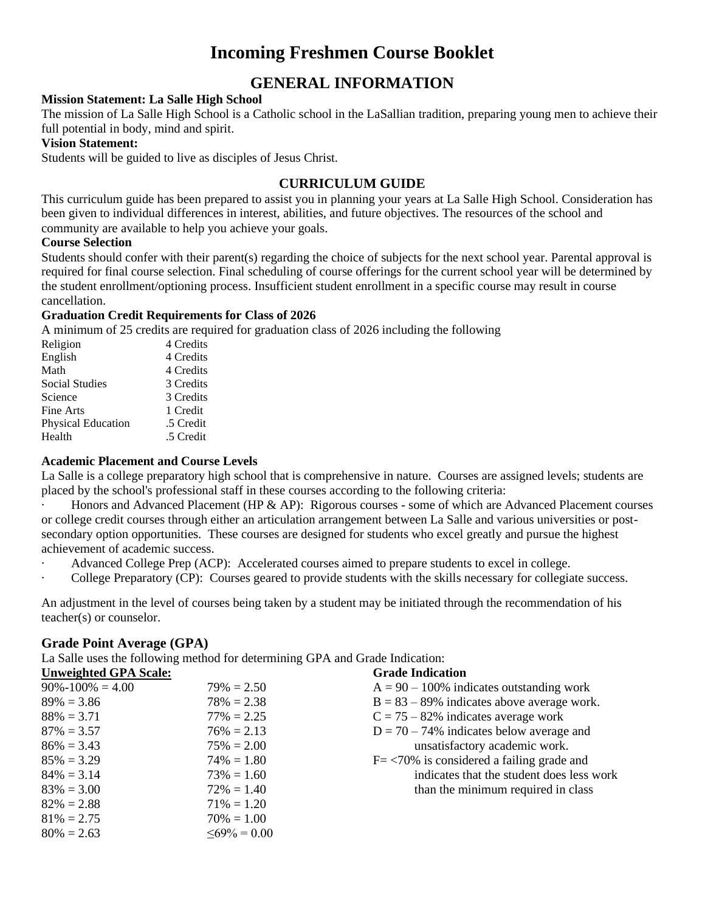# **Incoming Freshmen Course Booklet**

# **GENERAL INFORMATION**

#### **Mission Statement: La Salle High School**

The mission of La Salle High School is a Catholic school in the LaSallian tradition, preparing young men to achieve their full potential in body, mind and spirit.

#### **Vision Statement:**

Students will be guided to live as disciples of Jesus Christ.

## **CURRICULUM GUIDE**

This curriculum guide has been prepared to assist you in planning your years at La Salle High School. Consideration has been given to individual differences in interest, abilities, and future objectives. The resources of the school and community are available to help you achieve your goals.

#### **Course Selection**

Students should confer with their parent(s) regarding the choice of subjects for the next school year. Parental approval is required for final course selection. Final scheduling of course offerings for the current school year will be determined by the student enrollment/optioning process. Insufficient student enrollment in a specific course may result in course cancellation.

#### **Graduation Credit Requirements for Class of 2026**

A minimum of 25 credits are required for graduation class of 2026 including the following

| Religion           | 4 Credits |
|--------------------|-----------|
| English            | 4 Credits |
| Math               | 4 Credits |
| Social Studies     | 3 Credits |
| Science            | 3 Credits |
| Fine Arts          | 1 Credit  |
| Physical Education | .5 Credit |
| Health             | .5 Credit |
|                    |           |

#### **Academic Placement and Course Levels**

La Salle is a college preparatory high school that is comprehensive in nature. Courses are assigned levels; students are placed by the school's professional staff in these courses according to the following criteria:

Honors and Advanced Placement (HP & AP): Rigorous courses - some of which are Advanced Placement courses or college credit courses through either an articulation arrangement between La Salle and various universities or postsecondary option opportunities. These courses are designed for students who excel greatly and pursue the highest achievement of academic success.

- Advanced College Prep (ACP): Accelerated courses aimed to prepare students to excel in college.
- College Preparatory (CP): Courses geared to provide students with the skills necessary for collegiate success.

An adjustment in the level of courses being taken by a student may be initiated through the recommendation of his teacher(s) or counselor.

#### **Grade Point Average (GPA)**

La Salle uses the following method for determining GPA and Grade Indication:

| <b>Unweighted GPA Scale:</b> |                    | <b>Grade Indication</b>                              |
|------------------------------|--------------------|------------------------------------------------------|
| $90\% - 100\% = 4.00$        | $79\% = 2.50$      | $A = 90 - 100\%$ indicates outstanding work          |
| $89\% = 3.86$                | $78\% = 2.38$      | $B = 83 - 89\%$ indicates above average work.        |
| $88\% = 3.71$                | $77\% = 2.25$      | $C = 75 - 82\%$ indicates average work               |
| $87\% = 3.57$                | $76\% = 2.13$      | $D = 70 - 74\%$ indicates below average and          |
| $86\% = 3.43$                | $75\% = 2.00$      | unsatisfactory academic work.                        |
| $85\% = 3.29$                | $74\% = 1.80$      | $F = \langle 70\%$ is considered a failing grade and |
| $84\% = 3.14$                | $73\% = 1.60$      | indicates that the student does less work            |
| $83\% = 3.00$                | $72\% = 1.40$      | than the minimum required in class                   |
| $82\% = 2.88$                | $71\% = 1.20$      |                                                      |
| $81\% = 2.75$                | $70\% = 1.00$      |                                                      |
| $80\% = 2.63$                | $\leq 69\% = 0.00$ |                                                      |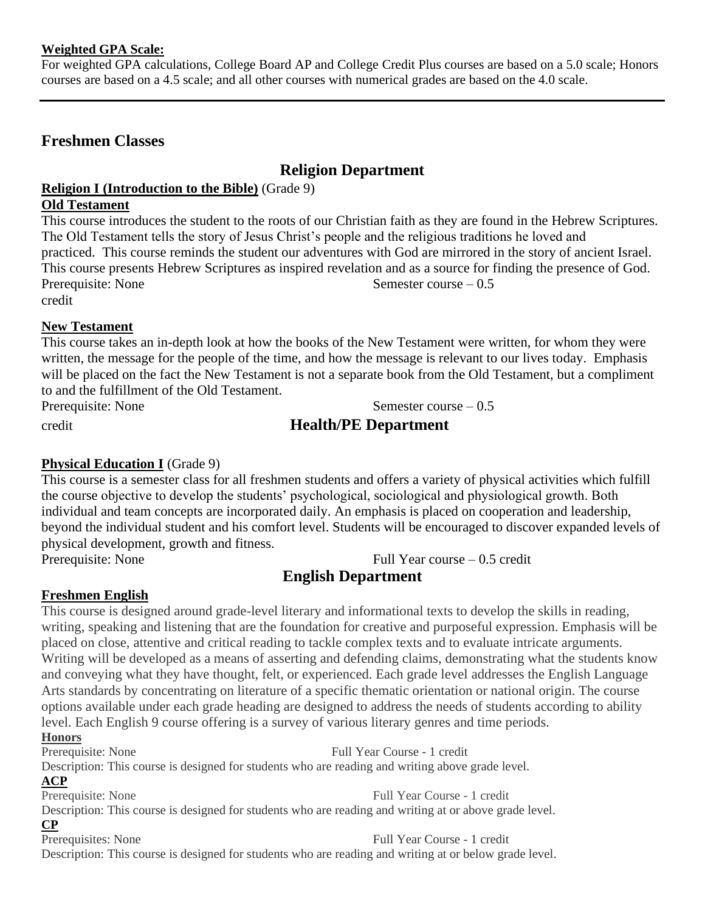## **Weighted GPA Scale:**

For weighted GPA calculations, College Board AP and College Credit Plus courses are based on a 5.0 scale; Honors courses are based on a 4.5 scale; and all other courses with numerical grades are based on the 4.0 scale.

# **Freshmen Classes**

# **Religion Department**

# **Religion I (Introduction to the Bible)** (Grade 9)

### **Old Testament**

This course introduces the student to the roots of our Christian faith as they are found in the Hebrew Scriptures. The Old Testament tells the story of Jesus Christ's people and the religious traditions he loved and practiced. This course reminds the student our adventures with God are mirrored in the story of ancient Israel. This course presents Hebrew Scriptures as inspired revelation and as a source for finding the presence of God. Prerequisite: None Semester course – 0.5 credit

# **New Testament**

This course takes an in-depth look at how the books of the New Testament were written, for whom they were written, the message for the people of the time, and how the message is relevant to our lives today. Emphasis will be placed on the fact the New Testament is not a separate book from the Old Testament, but a compliment to and the fulfillment of the Old Testament.

Prerequisite: None Semester course – 0.5

# credit **Health/PE Department**

# **Physical Education I** (Grade 9)

This course is a semester class for all freshmen students and offers a variety of physical activities which fulfill the course objective to develop the students' psychological, sociological and physiological growth. Both individual and team concepts are incorporated daily. An emphasis is placed on cooperation and leadership, beyond the individual student and his comfort level. Students will be encouraged to discover expanded levels of physical development, growth and fitness.

Prerequisite: None Full Year course – 0.5 credit

# **English Department**

# **Freshmen English**

This course is designed around grade-level literary and informational texts to develop the skills in reading, writing, speaking and listening that are the foundation for creative and purposeful expression. Emphasis will be placed on close, attentive and critical reading to tackle complex texts and to evaluate intricate arguments. Writing will be developed as a means of asserting and defending claims, demonstrating what the students know and conveying what they have thought, felt, or experienced. Each grade level addresses the English Language Arts standards by concentrating on literature of a specific thematic orientation or national origin. The course options available under each grade heading are designed to address the needs of students according to ability level. Each English 9 course offering is a survey of various literary genres and time periods.

# **Honors**

Prerequisite: None Full Year Course - 1 credit

Description: This course is designed for students who are reading and writing above grade level.

# **ACP**

Prerequisite: None Full Year Course - 1 credit

Description: This course is designed for students who are reading and writing at or above grade level.

**CP** 

Prerequisites: None Full Year Course - 1 credit Description: This course is designed for students who are reading and writing at or below grade level.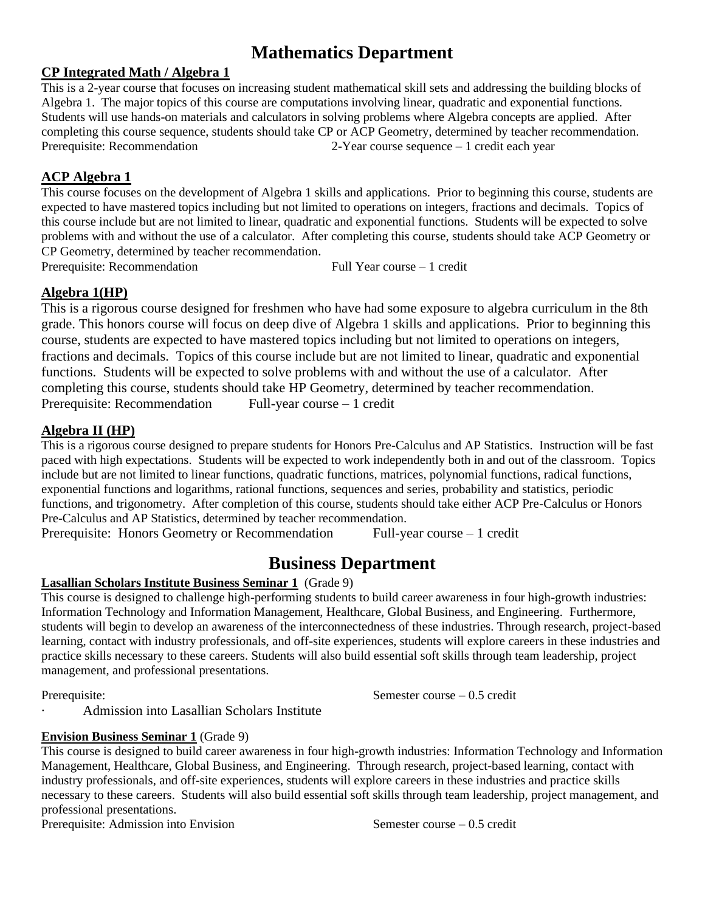# **Mathematics Department**

# **CP Integrated Math / Algebra 1**

This is a 2-year course that focuses on increasing student mathematical skill sets and addressing the building blocks of Algebra 1. The major topics of this course are computations involving linear, quadratic and exponential functions. Students will use hands-on materials and calculators in solving problems where Algebra concepts are applied. After completing this course sequence, students should take CP or ACP Geometry, determined by teacher recommendation. Prerequisite: Recommendation 2-Year course sequence – 1 credit each year

# **ACP Algebra 1**

This course focuses on the development of Algebra 1 skills and applications. Prior to beginning this course, students are expected to have mastered topics including but not limited to operations on integers, fractions and decimals. Topics of this course include but are not limited to linear, quadratic and exponential functions. Students will be expected to solve problems with and without the use of a calculator. After completing this course, students should take ACP Geometry or CP Geometry, determined by teacher recommendation.

Prerequisite: Recommendation Full Year course – 1 credit

# **Algebra 1(HP)**

This is a rigorous course designed for freshmen who have had some exposure to algebra curriculum in the 8th grade. This honors course will focus on deep dive of Algebra 1 skills and applications. Prior to beginning this course, students are expected to have mastered topics including but not limited to operations on integers, fractions and decimals. Topics of this course include but are not limited to linear, quadratic and exponential functions. Students will be expected to solve problems with and without the use of a calculator. After completing this course, students should take HP Geometry, determined by teacher recommendation. Prerequisite: Recommendation Full-year course – 1 credit

# **Algebra II (HP)**

This is a rigorous course designed to prepare students for Honors Pre-Calculus and AP Statistics. Instruction will be fast paced with high expectations. Students will be expected to work independently both in and out of the classroom. Topics include but are not limited to linear functions, quadratic functions, matrices, polynomial functions, radical functions, exponential functions and logarithms, rational functions, sequences and series, probability and statistics, periodic functions, and trigonometry. After completion of this course, students should take either ACP Pre-Calculus or Honors Pre-Calculus and AP Statistics, determined by teacher recommendation.

Prerequisite: Honors Geometry or Recommendation Full-year course – 1 credit

# **Business Department**

## **Lasallian Scholars Institute Business Seminar 1** (Grade 9)

This course is designed to challenge high-performing students to build career awareness in four high-growth industries: Information Technology and Information Management, Healthcare, Global Business, and Engineering. Furthermore, students will begin to develop an awareness of the interconnectedness of these industries. Through research, project-based learning, contact with industry professionals, and off-site experiences, students will explore careers in these industries and practice skills necessary to these careers. Students will also build essential soft skills through team leadership, project management, and professional presentations.

Prerequisite: Semester course – 0.5 credit

· Admission into Lasallian Scholars Institute

## **Envision Business Seminar 1** (Grade 9)

This course is designed to build career awareness in four high-growth industries: Information Technology and Information Management, Healthcare, Global Business, and Engineering. Through research, project-based learning, contact with industry professionals, and off-site experiences, students will explore careers in these industries and practice skills necessary to these careers. Students will also build essential soft skills through team leadership, project management, and professional presentations.

Prerequisite: Admission into Envision Semester course – 0.5 credit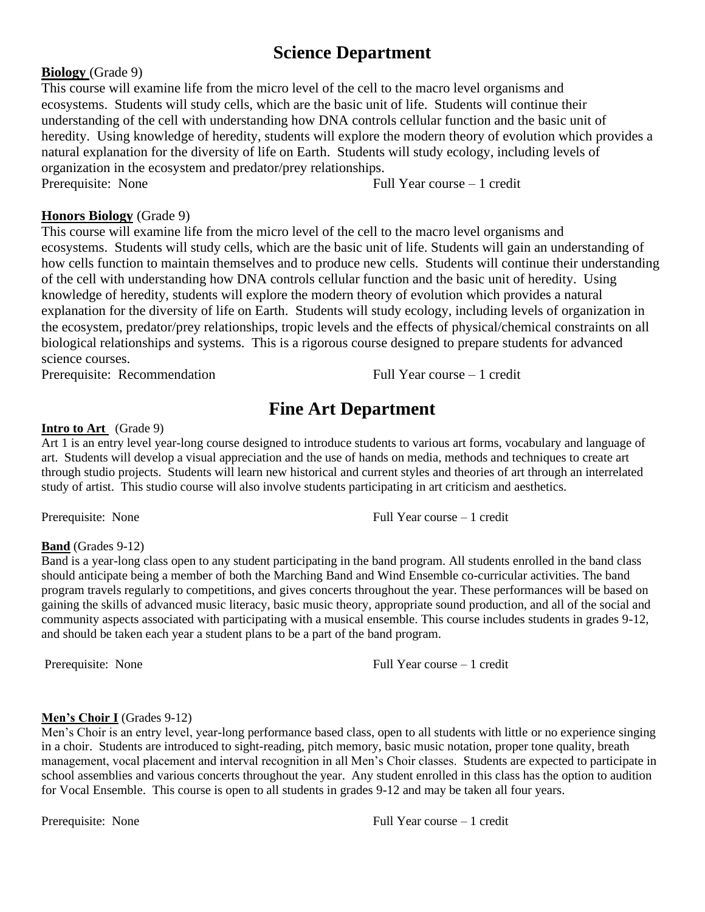# **Science Department**

## **Biology** (Grade 9)

This course will examine life from the micro level of the cell to the macro level organisms and ecosystems. Students will study cells, which are the basic unit of life. Students will continue their understanding of the cell with understanding how DNA controls cellular function and the basic unit of heredity. Using knowledge of heredity, students will explore the modern theory of evolution which provides a natural explanation for the diversity of life on Earth. Students will study ecology, including levels of organization in the ecosystem and predator/prey relationships. Prerequisite: None Full Year course – 1 credit

# **Honors Biology** (Grade 9)

This course will examine life from the micro level of the cell to the macro level organisms and ecosystems. Students will study cells, which are the basic unit of life. Students will gain an understanding of how cells function to maintain themselves and to produce new cells. Students will continue their understanding of the cell with understanding how DNA controls cellular function and the basic unit of heredity. Using knowledge of heredity, students will explore the modern theory of evolution which provides a natural explanation for the diversity of life on Earth. Students will study ecology, including levels of organization in the ecosystem, predator/prey relationships, tropic levels and the effects of physical/chemical constraints on all biological relationships and systems. This is a rigorous course designed to prepare students for advanced science courses.

Prerequisite: Recommendation Full Year course – 1 credit

# **Fine Art Department**

## **Intro to Art** (Grade 9)

Art 1 is an entry level year-long course designed to introduce students to various art forms, vocabulary and language of art. Students will develop a visual appreciation and the use of hands on media, methods and techniques to create art through studio projects. Students will learn new historical and current styles and theories of art through an interrelated study of artist. This studio course will also involve students participating in art criticism and aesthetics.

Prerequisite: None Full Year course – 1 credit

## **Band** (Grades 9-12)

Band is a year-long class open to any student participating in the band program. All students enrolled in the band class should anticipate being a member of both the Marching Band and Wind Ensemble co-curricular activities. The band program travels regularly to competitions, and gives concerts throughout the year. These performances will be based on gaining the skills of advanced music literacy, basic music theory, appropriate sound production, and all of the social and community aspects associated with participating with a musical ensemble. This course includes students in grades 9-12, and should be taken each year a student plans to be a part of the band program.

Prerequisite: None Full Year course – 1 credit

## **Men's Choir I** (Grades 9-12)

Men's Choir is an entry level, year-long performance based class, open to all students with little or no experience singing in a choir. Students are introduced to sight-reading, pitch memory, basic music notation, proper tone quality, breath management, vocal placement and interval recognition in all Men's Choir classes. Students are expected to participate in school assemblies and various concerts throughout the year. Any student enrolled in this class has the option to audition for Vocal Ensemble. This course is open to all students in grades 9-12 and may be taken all four years.

Prerequisite: None Full Year course – 1 credit